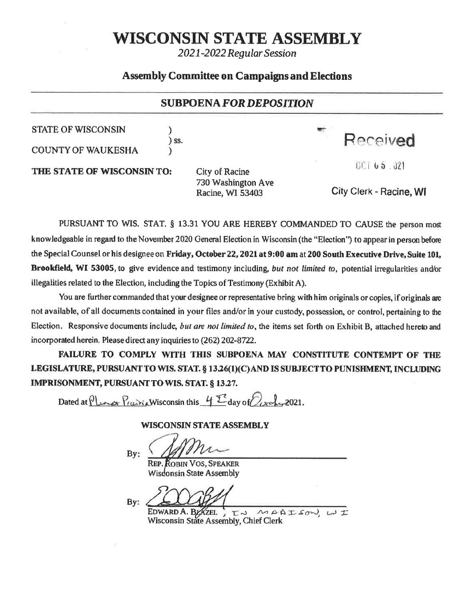# WISCONSIN STATE ASSEMBLY

2021-2022 Regular Session

### **Assembly Committee on Campaigns and Elections**

### **SUBPOENA FOR DEPOSITION**

**STATE OF WISCONSIN** 

**COUNTY OF WAUKESHA** 

) ss.

Received

THE STATE OF WISCONSINTO:

**City of Racine** 730 Washington Ave Racine, WI 53403

City Clerk - Racine, WI

 $00165.021$ 

PURSUANT TO WIS. STAT. § 13.31 YOU ARE HEREBY COMMANDED TO CAUSE the person most knowledgeable in regard to the November 2020 General Election in Wisconsin (the "Election") to appear in person before the Special Counsel or his designee on Friday, October 22, 2021 at 9:00 am at 200 South Executive Drive, Suite 101, Brookfield, WI 53005, to give evidence and testimony including, but not limited to, potential irregularities and/or illegalities related to the Election, including the Topics of Testimony (Exhibit A).

You are further commanded that your designee or representative bring with him originals or copies, if originals are not available, of all documents contained in your files and/or in your custody, possession, or control, pertaining to the Election. Responsive documents include, but are not limited to, the items set forth on Exhibit B, attached hereto and incorporated herein. Please direct any inquiries to (262) 202-8722.

FAILURE TO COMPLY WITH THIS SUBPOENA MAY CONSTITUTE CONTEMPT OF THE LEGISLATURE, PURSUANT TO WIS. STAT. § 13.26(1)(C) AND IS SUBJECT TO PUNISHMENT, INCLUDING IMPRISONMENT, PURSUANT TO WIS. STAT. § 13.27.

Dated at Plance Prairic Wisconsin this 4<sup>T</sup> day of  $\mathbb{Z}_{\text{adv}}$  2021.

### **WISCONSIN STATE ASSEMBLY**

By:

**REP. ROBIN VOS. SPEAKER** Wisdonsin State Assembly

EDWARD A. BYAZEL  $\sum_{n=0}^{\infty}$   $\sim$   $\sim$   $\approx$   $\approx$  Wisconsin State Assembly, Chief Clerk IN MAAISON, WI

By: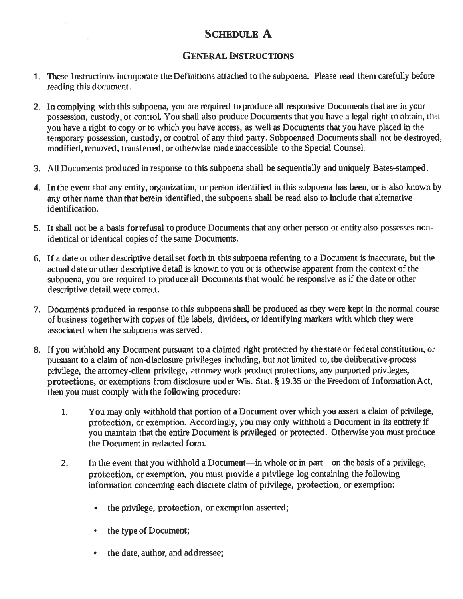# SCHEDULE A

### **GENERAL INSTRUCTIONS**

- 1. These Instmctions incorporate the Definitions attached to the subpoena. Please read them carefully before reading this document.
- 2. In complying with this subpoena, you are required to produce all responsive Documents that are in your possession, custody, or control. You shall also produce Documents that you have a legal right to obtain, that you have a right to copy or to which you have access, as well as Docurnents that you have placed in the temporary possession, custody, or control of any third party. Subpoenaed Documents shall not be destroyed, modified, removed, transfened, or otherwise made inaccessible to the Special Counsel.
- 3. All Documents produced in response to this subpoena shall be sequentially and uniquely Bates-stamped.
- 4. In the event that any entity, organization, or person identified in this subpoena has been, or is also known by any other name than that herein identified, the subpoena shall be read also to include that alternative identification,
- 5. It shall not be a basis for refusal to produce Documents that any other person or entity also possesses nonidentical or identical copies of the same Documents.
- 6, If a date or other descriptive detail set forth in this subpoena rcfering to a Document is inaccurate, but the actual date or other descriptive detail is known to you or is otherwise apparent from the context of the subpoena, you are required to produce all Documents that would be responsive as if the date or other descriptive detail were correct.
- 7. Documents produced in response to this subpoena shall be produced as they were kept in the normal course of business togetherwith copies of file labels, dividers, or identifying markers with which they were associated when the subpoena was served.
- B. If you withhold any Document pursuant to a claimed right pmtected by the state or federal constitution, or pursuant to a claim of non-disclosure privileges including, but not limited to, the deliberative-process privilege, the attorney-client privilege, attorney work product protections, any purported privileges, protections, or exemptions from disclosure under Wis. Stat. § 19.35 or the Freedom of Information Act, then you must comply with the following procedure:
	- 1. You may only withhold that portion of a Document over which you assert a claim of privilege, protection, or exemption. Accordingly, you may only withhold a Document in its entirety if you maintain that the entire Document is privileged or protected. Otherwise you must produce the Document in redacted form.
	- In the event that you withhold a Document—in whole or in part—on the basis of a privilege, protection, or exemption, you must provide a privilege log containing the following information concerning each discrete claim of privilege, protection, or exemption:  $2.5$ 
		- the privilege, protection, or exemption asserted;  $\blacksquare$
		- the type of Docurnent; a
		- the date, author, and addressee;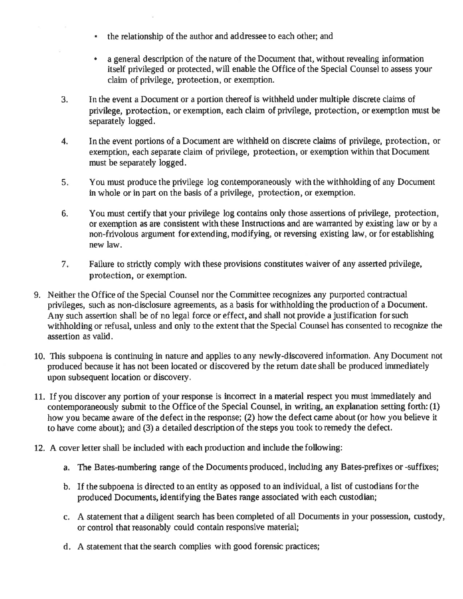- $\cdot$  the relationship of the author and addressee to each other; and
- a general description of the nature of the Document that, without revealing information itself privileged or protected, will enable the Office of the Special Counsel to assess your claim of privilege, protection, or exemption.
- In the event a Document or a portion thereof is withheld under multiple discrete claims of privilege, protection, or exemption, each claim of privilege, protection, or exemption must be separately logged. J.
- In the event portions of a Document are withheld on discrete claims of privilege, protection, or exemption, each separate claim of privilege, protection, or exernption within that Document must be separately logged. 4.
- You must produce the privllege log contemporaneously with the withholding of any Document in whole or in part on the basis of a privilege, protection, or exemption, 5
- You must certify that your privilege log contains only those assertions of privilege, protection, or exemption as arc consistent with these Instructions and are warranted by existing law or by a non-frivolous argument for extending, modifying, or reversing existing law, or for establishing new law. 6.
- Failure to strictly comply with these provisions constitutes waiver of any asserted privilege, protection, or exemption. 7
- 9. Neither the Office of the Special Counsel nor the Comrnittee recognizes any puryorted contractual privileges, such as non-disclosure agreements, as a basis for withholding the production of a Document. Any such assertion shall be of no legal force or effect, and shall not provide a justification for such withholding or refusal, unless and only to the extent that the Special Counsel has consented to recognize the assertion as valid.
- 10. This subpoena is continuing in nature and applies to any newly-discovered information. Any Document not produced because it has not been located or discovered by the return date shall be produced immediately upon subsequent location or discovery.
- 11. If you discover any portion of your response is incorrect in a material respect you must immediately and contemporaneously submit to the Office of the Special Counsel, in writing, an explanation setting forth: (1) how you became aware of the defect in the response; (2) how the defect came about (or how you believe it to have come about); and (3) a detailed description of the steps you took to remedy the defect.
- 12. A cover letter shall be included with each production and include the following:
	- a. The Bates-numbering range of the Documents produced, including any Bates-prefixes or -suffixes;
	- b. If the subpoena is directed to an entity as opposed to an individual, a list of custodians for the produced Documents, identifying the Bates range associated with each custodian;
	- c. A statement that a diligent search has been completed of all Documents in your possession, custody, or control that reasonably could contain responsive material;
	- d. A statement that the search complies with good forensic practices;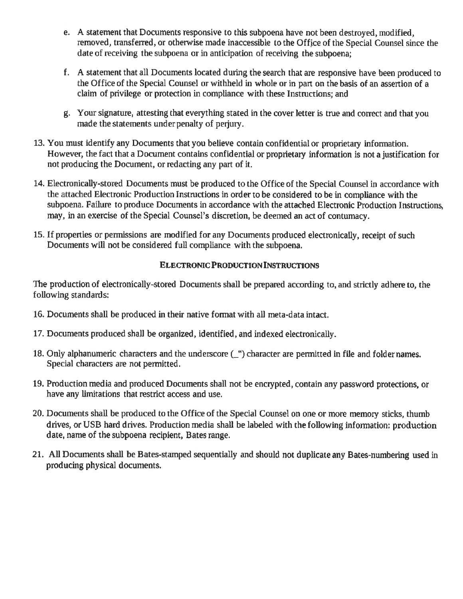- e. A statement that Documents responsive to this subpoena have not been destroyed, modified, removed, transferred, or otherwise made inaccessible to the Office of the Special Counsel since the date of receiving the subpoena or in anticipation of receiving the subpoena;
- f. A statement that all Documents located during the search that are responsive have been produced to the Office of the Special Counsel or withheld in whole or in part on the basis of an assertion of <sup>a</sup> claim of privilege or protection in compliance with these Instructions; and
- g. Your signature, attesting that everything stated in the cover letter is true and correct and thatyou made the statements under penalty of periury.
- 13. You must identify any Documents that you believe contain confidential or proprietary information. However, the fact that a Document contains confidential or proprietary information is not a justification for not producing the Document, or redacting any part of it.
- 14. Electronically-stored Documents must be produced to the Office of the Special Counsel in accordance with the attached Electronic Production Instructions in order to be eonsidered to be in compliance with the subpoena. Fallure to produce Documents in accordance with the attached Electronic Production Instructions, may, in an exercise of the Special Counsel's discretion, be deemed an act of contumacy.
- 15. If properties or permissions are modified for any Documents produced electronically, receipt of such Documents will not be considered full compliance with the subpoena.

### **ELECTRONIC PRODUCTION INSTRUCTIONS**

The production of electronically-stored Documents shall be prepared according to, and strictly adhere to, the following standards:

- 16. Documents shall be produced in their native format with all meta-data intact.
- 17. Docurnents produced shall be organized, identified, and indexed electronically.
- 18. Only alphanumeric characters and the underscore  $(\_ \)$  character are permitted in file and folder names. Special characters are not permitted.
- 19. Production media and produced Documents shall not be encrypted, contain any password protections, or have any limitations that restrict access and use.
- 20. Documents shall be produced to the Office of the Special Counsel 0n one or morc memory sticks, thurnb drives, or USB hard drives. Production media shall be labeled with the following information: production date, name of the subpoena recipient, Bates range.
- 21. All Documents shall be Bates-starnped sequentially and should not duplicate any Bates-numbering used in producing physical documents.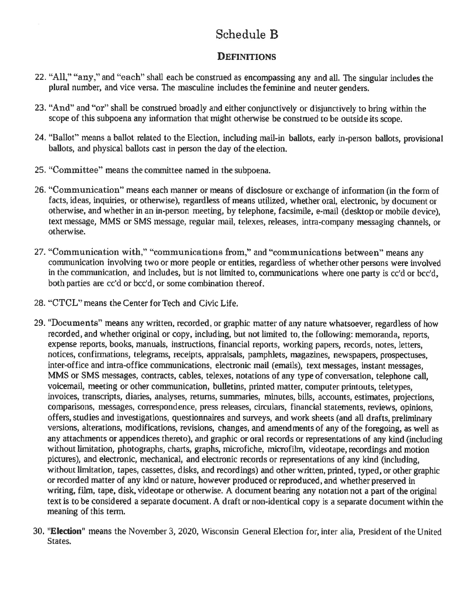# Schedule B

## DEFINITIONS

- 22. "All," "any," and "each" shall each be construed as encompassing any and all. The singular includes the plural number, and vice versa. The masculine includes the feminine and neuter genders.
- 23. "And" and "or" shall be construed broadly and either conjunctively or disjunctively to bring within the scope of this subpoena any information that might otherwise be construed to be outside its scope.
- 24. "Ballot" means a ballot related to the Election, including mail-in ballots, early in-person ballots, provisional ballots, and physical ballots cast in person the day of the election.
- 25. "Committee" means the committee named in the subpoena.
- 26. "Communication" means each manner or means of disclosure or exchange of information (in the form of facts, ideas, inquiries, or otherwise), regardless of means utilized, whether oral, electronic, by document or otherwise, and whether in an in-person meeting, by telephone, facsirnile, e-mail {desktop or mobile device), text message, MMS or SMS message, regular mail, telexes, releases, intra-company messaging channels, or otherwise.
- 27. "Communication with," "communications from," and "communications between" means any communication involving two or more people or entities, regardless of whether other persons were involved in the communication, and includes, but is not limited to, communications where one party is cc'd or bcc'd, both parties are cc'd or bcc'd, or some combination thereof.
- 28. "CTCL" means the Center for Tech and Civic Life.
- 29. "Documents" means any written, recorded, or graphic matter of any nature whatsoever, regardless of how recorded, and whether original or copy, including, but not limited to, the following: memoranda, reports, expense reports, books, manuals, instructions, financial reports, working papers, records, notes, letters, notices, confirmations, telegrams, receipts, appraisals, pamphlets, magazines, newspapers, prospectuses, inter-office and intra-office communications, electronic mail (emails), text messages, instant messages, MMS or SMS messages, contracts, cables, telexes, notations of any type of conversation, telephone call, voicemail, meeting or other communication, bulletins, printed matter, computer printouts, teletypes, invoices, transcripts, diaries, analyses, returns, summaries, minutes, bills, accounts, estimates, projections, comparisons, messages, correspondence, press releases, circulars, financial statements, reviews, opinions, offers, studies and investigations, questionnaires and surveys, and work sheets (and all drafts, preliminary versions, alterations, modifications, revisions, changes, and amendments of any of the foregoing, as well as any attachments or appendices thereto), and graphic or oral records or representations of any kind (including without limitation, photographs, charts, graphs, microfiche, microfilm, videotape, recordings and motion pictures), and electronic, mechanical, and electronic records or representations of any kind (including, without limitation, tapes, cassettes, disks, and recordings) and other written, printed, typed, or other graphic or recorded matter of any kind or nature, however produced or reproduced, and whether preserved in writing, film, tape, disk, videotape or otherwise. A document bearing any notation not a part of the original text is to be considered a separate document. A draft or non-identical copy is a separate document within the meaning of this term.
- 30. "Election" means the November 3, 2020, Wisconsin General Election for, inter alia, President of the United States.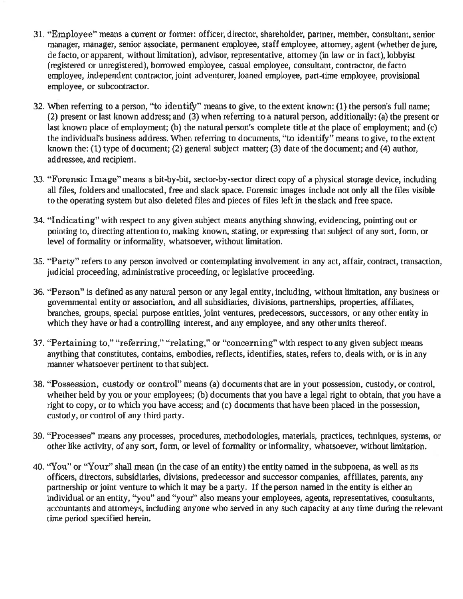- 31. "Employee" means a current or former: officer, director, shareholder, partner, member, consultant, senior manager, manager, senior associate, permanent employee, staff employee, attorney, agent (whether de jure, de facto, or apparent, without limitation), advisor, representative, attorney (in law or in fact), lobbyist (rcgistercd or unrcgisterecl), bonowed employee, casual ernployee, consultant, contmctor, de facto employee, independent contractor, joint adventurer, loaned employee, part-time employee, provisional employee, or subcontractor.
- 32. When referring to a person, "to identify" means to give, to the extent known: (1) the person's full name; (2) present or last known address; and (3) when referring to a natural person, additionally: (a) the present or last known place of employment; (b) the natural person's complete title at the place of employment; and  $(c)$ the individual's business address. When referring to documents, "to identify" means to give, to the extent known the: (1) type of document; (2) general subject matter; (3) date of the document; and (4) author, addressee, and recipient.
- 33. "Forensic Image" means a bit-by-bit, sector-by-sector direct copy of a physical storage device, including all files, folders and unallocated, free and slack space. Forensic images include not only all the files visible to the operating system but also deleted files and pieces of files left in the slack and free space.
- 34. "Indicating" with respect to any given subject means anything showing, evidencing, pointing out or pointing to, directing attention to, making known, stating, or expressing that subject of any sort, form, or level of formality or infornality, whatsoever, without limitation.
- 35. "Party" refers to any person involved or contemplating involvement in any act, affair, contract, transaction, judicial proceeding, administrative proceeding, or legislative proceeding.
- 36. "Person" is defined as any natural person or any legal entity, including, without limitation, any business or govemmental entity or association, and all subsidiaries, divisions, partnerships, properties, affiliates, branches, groups, special purpose entities, joint ventures, predecessors, successors, or any other entity in which they have or had a controlling interest, and any employee, and any other units thereof.
- 37. "Pertaining to," "referring," "relating," or "concerning" with respect to any given subject means anything that constitutes, contains, embodies, reflects, identifies, states, refers to, deals with, or is in any manner whatsoever peninent to that subject.
- 38. "Possession, custody or control" means (a) documents that are in your possession, custody, or control, whether held by you or your employees; (b) documents that you have a legal right to obtain, that you have a right to copy, or to which you have access; and (c) documents that have been placed in the possession, custody, or control of any third party.
- 39. "Processes" means any processes, procedures, methodologies, materials, practices, techniques, systems, or other like activity, of any sort, forn; or level of formality or infomrality, whatsoever, without limitation.
- 40. "You" or "Your" shall mean (in the case of an entity) the entity named in the subpoena, as well as its officers, directors, subsidiaries, divisions, predecessor and successor companies, affiliates, parents, any partnership or joint venture to which it may be a party. If the person named in the entity is either an individual or an entity, "you" and "your" also means your employees, agents, representatives, consultants, accountants and attorneys, including anyone who served in any such capacity at any time during the relevant time period specified herein.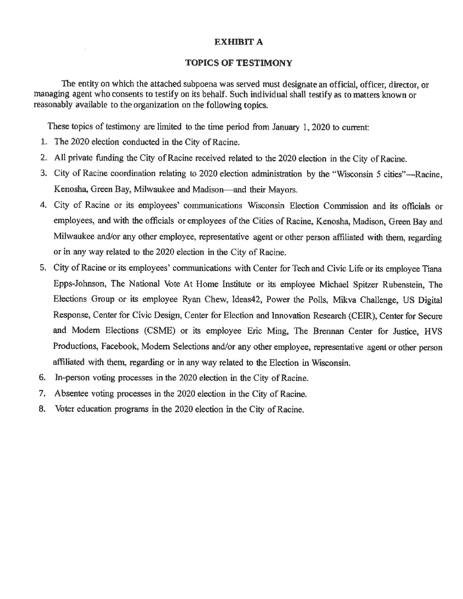#### **EXHIBIT A**

#### **TOPICS OF TESTIMONY**

The entity on which the attached subpoena was served must designate an official, officer, director, or managing agent who consents to testify on its behalf. Such individual shall testify as to matters known or reasonably available to the organization on the following topics.

These topics of testimony are limited to the time period from January 1, 2020 to current:

- 1. The 2020 election conducted in the City of Racine.
- 2. All private funding the City of Racine received related to the 2020 election in the City of Racine.
- 3. City of Racine coordination relating to 2020 election administration by the "Wisconsin 5 cities"—Racine. Kenosha, Green Bay, Milwaukee and Madison—and their Mayors.
- 4. City of Racine or its employees' communications Wisconsin Election Commission and its officials or employees, and with the officials or employees of the Cities of Racine, Kenosha, Madison, Green Bay and Milwaukee and/or any other employee, representative agent or other person affiliated with them, regarding or in any way related to the 2020 election in the City of Racine.
- 5. City of Racine or its employees' communications with Center for Tech and Civic Life or its employee Tiana Epps-Johnson, The National Vote At Home Institute or its employee Michael Spitzer Rubenstein, The Elections Group or its employee Ryan Chew, Ideas42, Power the Polls, Mikva Challenge, US Digital Response, Center for Civic Design, Center for Election and Innovation Research (CEIR), Center for Secure and Modern Elections (CSME) or its employee Eric Ming, The Brennan Center for Justice. HVS Productions, Facebook, Modern Selections and/or any other employee, representative agent or other person affiliated with them, regarding or in any way related to the Election in Wisconsin.
- 6. In-person voting processes in the 2020 election in the City of Racine.
- 7. Absentee voting processes in the 2020 election in the City of Racine.
- 8. Voter education programs in the 2020 election in the City of Racine.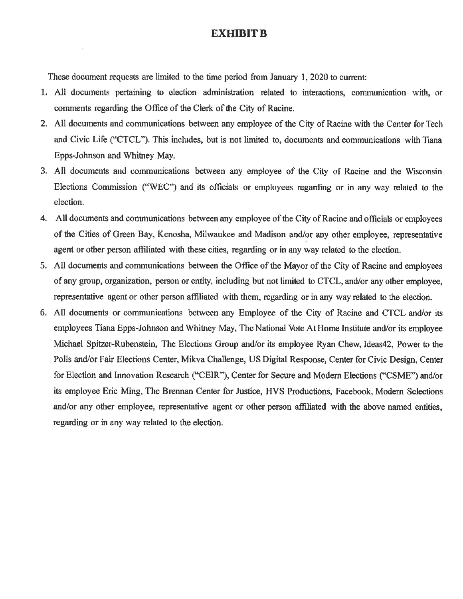### **EXHIBIT B**

These document requests are limited to the time period from January 1, 2020 to current:

×

- 1. All documents pertaining to election administration related to interactions, communication with, or comments regarding the Office of the Clerk of the City of Racine.
- 2. All documents and communications between any employee of the City of Racine with the Center for Tech and Civic Life ("CTCL"). This includes, but is not limited to, documents and communications with Tiana Epps-Johnson and Whitney May.
- 3. All documents and communications between any employee of the City of Racine and the Wisconsin Elections Commission ("WEC") and its officials or employees regarding or in any way related to the election.
- 4. All documents and communications between any employee of the City of Racine and officials or employees of the Cities of Green Bay, Kenosha, Milwaukee and Madison and/or any other employee, representative agent or other person affiliated with these cities, regarding or in any way related to the election.
- 5. All documents and communications between the Office of the Mayor of the City of Racine and employees of any group, organization, person or entity, including but not limited to CTCL, and/or any other employee, representative agent or other person affiliated with them, regarding or in any way related to the election.
- 6. All documents or communications between any Employee of the City of Racine and CTCL and/or its employees Tiana Epps-Johnson and Whitney May, The National Vote At Home Institute and/or its employee Michael Spitzer-Rubenstein, The Elections Group and/or its employee Ryan Chew, Ideas42, Power to the Polls and/or Fair Elections Center, Mikva Challenge, US Digital Response, Center for Civic Design, Center for Election and Innovation Research ("CEIR"), Center for Secure and Modern Elections ("CSME") and/or its employee Eric Ming, The Brennan Center for Justice, HVS Productions, Facebook, Modern Selections and/or any other employee, representative agent or other person affiliated with the above named entities, regarding or in any way related to the election.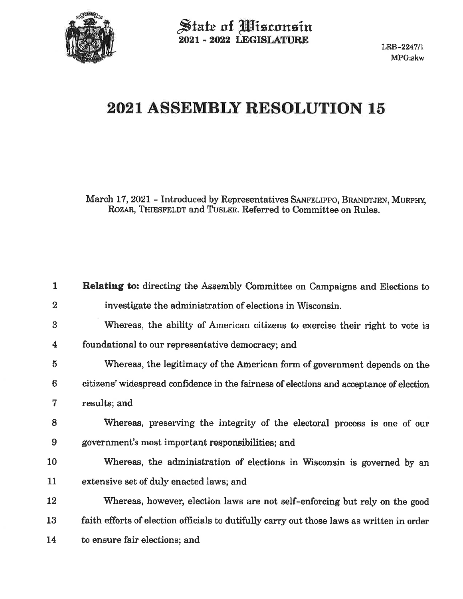

State of Misconsin<br>2021 - 2022 LEGISLATURE

# 2021 ASSEMBLY RESOLUTION 15

March 17, 2021 - Introduced by Representatives SANFELIPPO, BRANDTJEN, MURPHY, ROZAR, THIESFELDT and TUSLER. Referred to Committee on Rules.

| 1        | Relating to: directing the Assembly Committee on Campaigns and Elections to               |
|----------|-------------------------------------------------------------------------------------------|
| $\bf{2}$ | investigate the administration of elections in Wisconsin.                                 |
| 3        | Whereas, the ability of American citizens to exercise their right to vote is              |
| 4        | foundational to our representative democracy; and                                         |
| 5        | Whereas, the legitimacy of the American form of government depends on the                 |
| 6        | citizens' widespread confidence in the fairness of elections and acceptance of election   |
| 7        | results; and                                                                              |
| 8        | Whereas, preserving the integrity of the electoral process is one of our                  |
| 9        | government's most important responsibilities; and                                         |
| 10       | Whereas, the administration of elections in Wisconsin is governed by an                   |
| 11       | extensive set of duly enacted laws; and                                                   |
| 12       | Whereas, however, election laws are not self-enforcing but rely on the good               |
| 13       | faith efforts of election officials to dutifully carry out those laws as written in order |
| 14       | to ensure fair elections; and                                                             |